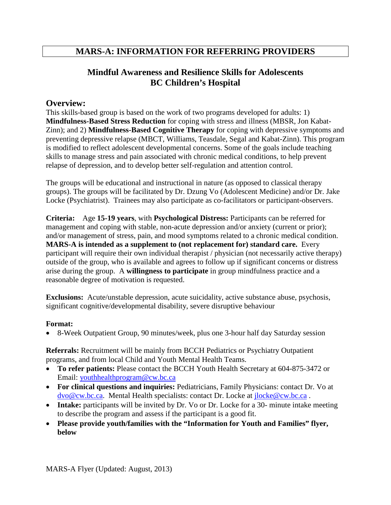# **MARS-A: INFORMATION FOR REFERRING PROVIDERS**

# **Mindful Awareness and Resilience Skills for Adolescents BC Children's Hospital**

### **Overview:**

This skills-based group is based on the work of two programs developed for adults: 1) **Mindfulness-Based Stress Reduction** for coping with stress and illness (MBSR, Jon Kabat-Zinn); and 2) **Mindfulness-Based Cognitive Therapy** for coping with depressive symptoms and preventing depressive relapse (MBCT, Williams, Teasdale, Segal and Kabat-Zinn). This program is modified to reflect adolescent developmental concerns. Some of the goals include teaching skills to manage stress and pain associated with chronic medical conditions, to help prevent relapse of depression, and to develop better self-regulation and attention control.

The groups will be educational and instructional in nature (as opposed to classical therapy groups). The groups will be facilitated by Dr. Dzung Vo (Adolescent Medicine) and/or Dr. Jake Locke (Psychiatrist). Trainees may also participate as co-facilitators or participant-observers.

**Criteria:** Age **15-19 years**, with **Psychological Distress:** Participants can be referred for management and coping with stable, non-acute depression and/or anxiety (current or prior); and/or management of stress, pain, and mood symptoms related to a chronic medical condition. **MARS-A is intended as a supplement to (not replacement for) standard care.** Every participant will require their own individual therapist / physician (not necessarily active therapy) outside of the group, who is available and agrees to follow up if significant concerns or distress arise during the group. A **willingness to participate** in group mindfulness practice and a reasonable degree of motivation is requested.

**Exclusions:** Acute/unstable depression, acute suicidality, active substance abuse, psychosis, significant cognitive/developmental disability, severe disruptive behaviour

### **Format:**

• 8-Week Outpatient Group, 90 minutes/week, plus one 3-hour half day Saturday session

**Referrals:** Recruitment will be mainly from BCCH Pediatrics or Psychiatry Outpatient programs, and from local Child and Youth Mental Health Teams.

- **To refer patients:** Please contact the BCCH Youth Health Secretary at 604-875-3472 or Email: [youthhealthprogram@cw.bc.ca](mailto:youthhealthprogram@cw.bc.ca)
- **For clinical questions and inquiries:** Pediatricians, Family Physicians: contact Dr. Vo at [dvo@cw.bc.ca.](mailto:dvo@cw.bc.ca) Mental Health specialists: contact Dr. Locke at [jlocke@cw.bc.ca](mailto:jlocke@cw.bc.ca) .
- **Intake:** participants will be invited by Dr. Vo or Dr. Locke for a 30- minute intake meeting to describe the program and assess if the participant is a good fit.
- **Please provide youth/families with the "Information for Youth and Families" flyer, below**